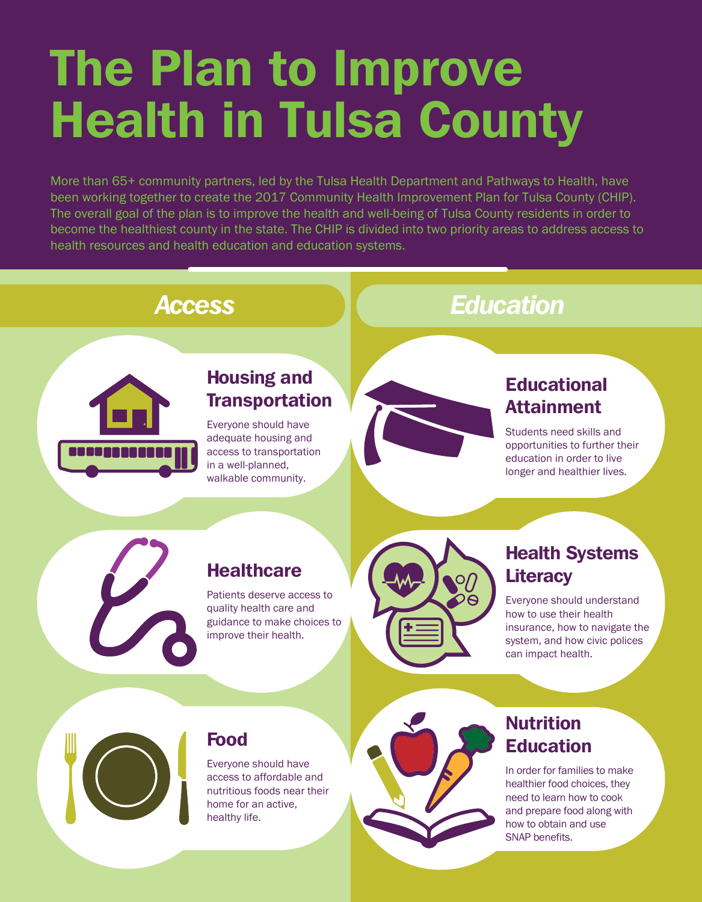## The Plan to Improve Health in Tulsa County

More than 65+ community partners, led by the Tulsa Health Department and Pathways to Health, have been working together to create the 2017 Community Health Improvement Plan for Tulsa County (CHIP). The overall goal of the plan is to improve the health and well-being of Tulsa County residents in order to become the healthiest county in the state. The CHIP is divided into two priority areas to address access to health resources and health education and education systems.



#### *Access*

#### Housing and **Transportation**

Everyone should have adequate housing and access to transportation in a well-planned, walkable community.



### *Education*

#### **Educational** Attainment

Students need skills and opportunities to further their education in order to live longer and healthier lives.



#### **Healthcare**

Patients deserve access to quality health care and guidance to make choices to improve their health.



#### Health Systems **Literacy**

Everyone should understand how to use their health insurance, how to navigate the system, and how civic polices can impact health.



#### Food

Everyone should have access to affordable and nutritious foods near their home for an active, healthy life.



#### **Nutrition** Education

In order for families to make healthier food choices, they need to learn how to cook and prepare food along with how to obtain and use SNAP benefits.